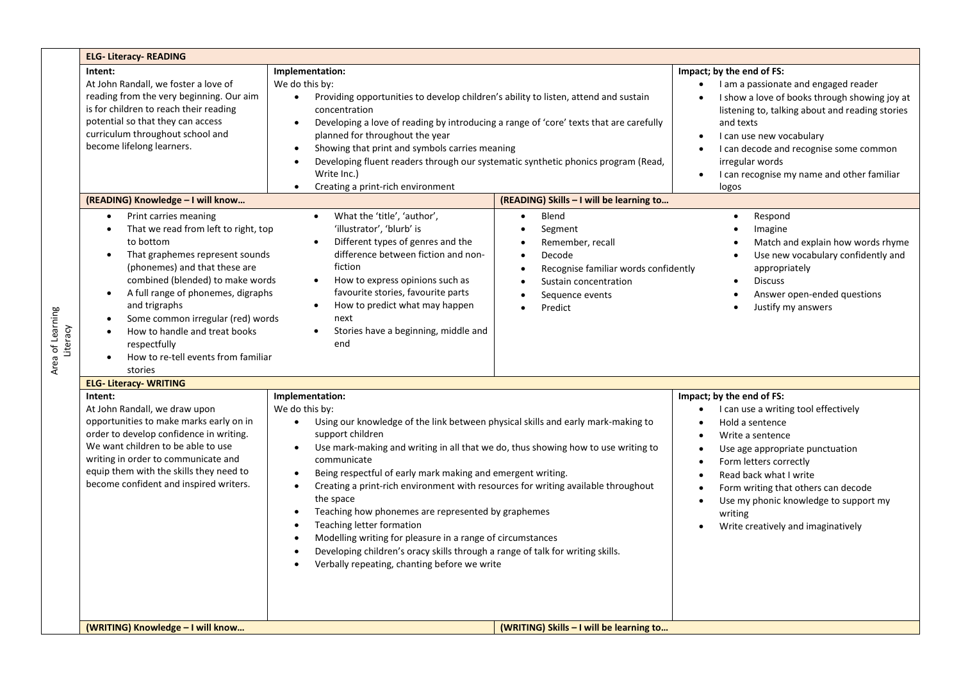|                              | <b>ELG- Literacy- READING</b>                                                                                                                                                                                                                                                                                                                                                                                                                                                                                                                                                                                                                                                                                                                                                                                                                                                                                                                                                                                                                                                                    |                                                                                                                                                                                                                                                                                                                                                                                                                                                                                                                                                                                                             |                                                                                                                                                                               |                                                                                                                                                                                                                                                                                                                                                                                                 |  |  |  |
|------------------------------|--------------------------------------------------------------------------------------------------------------------------------------------------------------------------------------------------------------------------------------------------------------------------------------------------------------------------------------------------------------------------------------------------------------------------------------------------------------------------------------------------------------------------------------------------------------------------------------------------------------------------------------------------------------------------------------------------------------------------------------------------------------------------------------------------------------------------------------------------------------------------------------------------------------------------------------------------------------------------------------------------------------------------------------------------------------------------------------------------|-------------------------------------------------------------------------------------------------------------------------------------------------------------------------------------------------------------------------------------------------------------------------------------------------------------------------------------------------------------------------------------------------------------------------------------------------------------------------------------------------------------------------------------------------------------------------------------------------------------|-------------------------------------------------------------------------------------------------------------------------------------------------------------------------------|-------------------------------------------------------------------------------------------------------------------------------------------------------------------------------------------------------------------------------------------------------------------------------------------------------------------------------------------------------------------------------------------------|--|--|--|
|                              | Intent:<br>At John Randall, we foster a love of<br>reading from the very beginning. Our aim<br>is for children to reach their reading<br>potential so that they can access<br>curriculum throughout school and<br>become lifelong learners.<br>(READING) Knowledge - I will know<br>Print carries meaning<br>$\bullet$<br>That we read from left to right, top<br>$\bullet$                                                                                                                                                                                                                                                                                                                                                                                                                                                                                                                                                                                                                                                                                                                      | Implementation:<br>We do this by:<br>Providing opportunities to develop children's ability to listen, attend and sustain<br>$\bullet$<br>concentration<br>Developing a love of reading by introducing a range of 'core' texts that are carefully<br>$\bullet$<br>planned for throughout the year<br>Showing that print and symbols carries meaning<br>$\bullet$<br>Developing fluent readers through our systematic synthetic phonics program (Read,<br>$\bullet$<br>Write Inc.)<br>Creating a print-rich environment<br>$\bullet$<br>What the 'title', 'author',<br>$\bullet$<br>'illustrator', 'blurb' is | (READING) Skills - I will be learning to<br>Blend<br>$\bullet$<br>Segment<br>$\bullet$                                                                                        | Impact; by the end of FS:<br>I am a passionate and engaged reader<br>$\bullet$<br>I show a love of books through showing joy at<br>listening to, talking about and reading stories<br>and texts<br>I can use new vocabulary<br>I can decode and recognise some common<br>irregular words<br>I can recognise my name and other familiar<br>$\bullet$<br>logos<br>Respond<br>$\bullet$<br>Imagine |  |  |  |
| Area of Learning<br>Literacy | to bottom<br>That graphemes represent sounds<br>$\bullet$<br>(phonemes) and that these are<br>combined (blended) to make words<br>A full range of phonemes, digraphs<br>$\bullet$<br>and trigraphs<br>Some common irregular (red) words<br>How to handle and treat books<br>$\bullet$<br>respectfully<br>How to re-tell events from familiar<br>$\bullet$<br>stories<br><b>ELG- Literacy- WRITING</b>                                                                                                                                                                                                                                                                                                                                                                                                                                                                                                                                                                                                                                                                                            | Different types of genres and the<br>$\bullet$<br>difference between fiction and non-<br>fiction<br>How to express opinions such as<br>$\bullet$<br>favourite stories, favourite parts<br>How to predict what may happen<br>$\bullet$<br>next<br>Stories have a beginning, middle and<br>end                                                                                                                                                                                                                                                                                                                | Remember, recall<br>$\bullet$<br>Decode<br>$\bullet$<br>Recognise familiar words confidently<br>Sustain concentration<br>$\bullet$<br>Sequence events<br>$\bullet$<br>Predict | Match and explain how words rhyme<br>Use new vocabulary confidently and<br>appropriately<br><b>Discuss</b><br>$\bullet$<br>Answer open-ended questions<br>Justify my answers                                                                                                                                                                                                                    |  |  |  |
|                              | Intent:<br>Implementation:<br>At John Randall, we draw upon<br>We do this by:<br>opportunities to make marks early on in<br>Using our knowledge of the link between physical skills and early mark-making to<br>$\bullet$<br>order to develop confidence in writing.<br>support children<br>We want children to be able to use<br>Use mark-making and writing in all that we do, thus showing how to use writing to<br>$\bullet$<br>writing in order to communicate and<br>communicate<br>equip them with the skills they need to<br>Being respectful of early mark making and emergent writing.<br>$\bullet$<br>become confident and inspired writers.<br>Creating a print-rich environment with resources for writing available throughout<br>$\bullet$<br>the space<br>Teaching how phonemes are represented by graphemes<br>$\bullet$<br>Teaching letter formation<br>$\bullet$<br>Modelling writing for pleasure in a range of circumstances<br>Developing children's oracy skills through a range of talk for writing skills.<br>$\bullet$<br>Verbally repeating, chanting before we write |                                                                                                                                                                                                                                                                                                                                                                                                                                                                                                                                                                                                             |                                                                                                                                                                               | Impact; by the end of FS:<br>I can use a writing tool effectively<br>Hold a sentence<br>Write a sentence<br>$\bullet$<br>Use age appropriate punctuation<br>$\bullet$<br>Form letters correctly<br>Read back what I write<br>$\bullet$<br>Form writing that others can decode<br>Use my phonic knowledge to support my<br>$\bullet$<br>writing<br>Write creatively and imaginatively            |  |  |  |
|                              | (WRITING) Knowledge - I will know                                                                                                                                                                                                                                                                                                                                                                                                                                                                                                                                                                                                                                                                                                                                                                                                                                                                                                                                                                                                                                                                |                                                                                                                                                                                                                                                                                                                                                                                                                                                                                                                                                                                                             | (WRITING) Skills - I will be learning to                                                                                                                                      |                                                                                                                                                                                                                                                                                                                                                                                                 |  |  |  |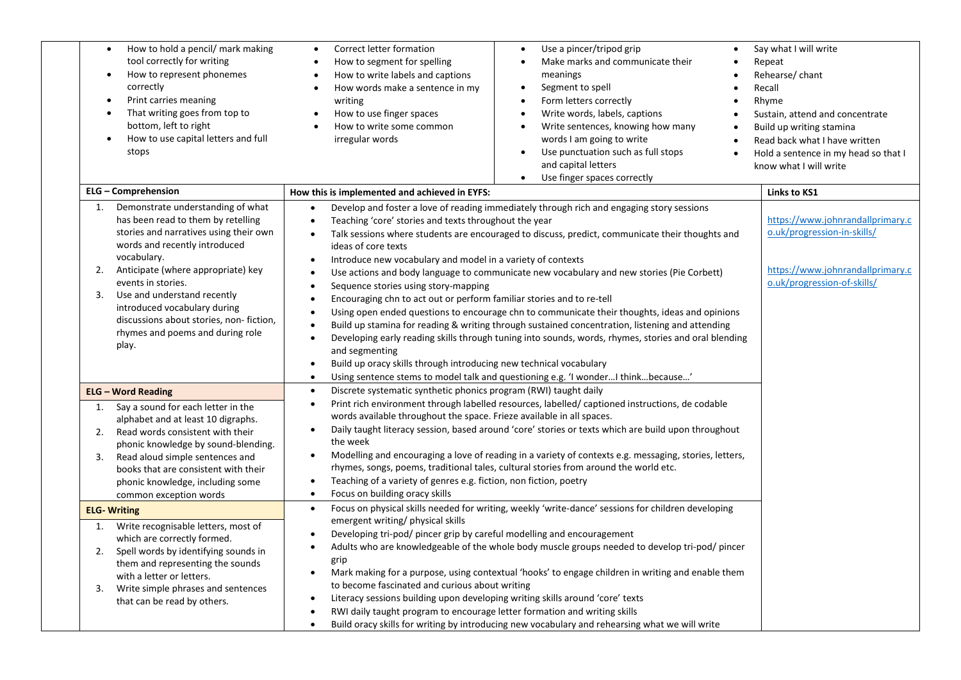| How to hold a pencil/ mark making<br>$\bullet$<br>tool correctly for writing<br>How to represent phonemes<br>$\bullet$<br>correctly<br>Print carries meaning<br>$\bullet$<br>That writing goes from top to<br>$\bullet$<br>bottom, left to right<br>How to use capital letters and full<br>$\bullet$<br>stops                                                                                          | Correct letter formation<br>$\bullet$<br>How to segment for spelling<br>How to write labels and captions<br>$\bullet$<br>How words make a sentence in my<br>$\bullet$<br>writing<br>How to use finger spaces<br>$\bullet$<br>How to write some common<br>irregular words                                                                                                                                                                                                                                                                                                                                                                                                                                                                                                                                                                                                                                                                                                                                                                                                                                                                                    | Use a pincer/tripod grip<br>Make marks and communicate their<br>meanings<br>Segment to spell<br>$\bullet$<br>Form letters correctly<br>Write words, labels, captions<br>$\bullet$<br>Write sentences, knowing how many<br>$\bullet$<br>words I am going to write<br>Use punctuation such as full stops<br>and capital letters<br>Use finger spaces correctly<br>$\bullet$                               | Say what I will write<br>Repeat<br>Rehearse/chant<br>Recall<br>Rhyme<br>Sustain, attend and concentrate<br>Build up writing stamina<br>Read back what I have written<br>Hold a sentence in my head so that I<br>know what I will write |
|--------------------------------------------------------------------------------------------------------------------------------------------------------------------------------------------------------------------------------------------------------------------------------------------------------------------------------------------------------------------------------------------------------|-------------------------------------------------------------------------------------------------------------------------------------------------------------------------------------------------------------------------------------------------------------------------------------------------------------------------------------------------------------------------------------------------------------------------------------------------------------------------------------------------------------------------------------------------------------------------------------------------------------------------------------------------------------------------------------------------------------------------------------------------------------------------------------------------------------------------------------------------------------------------------------------------------------------------------------------------------------------------------------------------------------------------------------------------------------------------------------------------------------------------------------------------------------|---------------------------------------------------------------------------------------------------------------------------------------------------------------------------------------------------------------------------------------------------------------------------------------------------------------------------------------------------------------------------------------------------------|----------------------------------------------------------------------------------------------------------------------------------------------------------------------------------------------------------------------------------------|
| <b>ELG - Comprehension</b>                                                                                                                                                                                                                                                                                                                                                                             | How this is implemented and achieved in EYFS:                                                                                                                                                                                                                                                                                                                                                                                                                                                                                                                                                                                                                                                                                                                                                                                                                                                                                                                                                                                                                                                                                                               |                                                                                                                                                                                                                                                                                                                                                                                                         | Links to KS1                                                                                                                                                                                                                           |
| Demonstrate understanding of what<br>1.<br>has been read to them by retelling<br>stories and narratives using their own<br>words and recently introduced<br>vocabulary.<br>Anticipate (where appropriate) key<br>2.<br>events in stories.<br>3.<br>Use and understand recently<br>introduced vocabulary during<br>discussions about stories, non-fiction,<br>rhymes and poems and during role<br>play. | Develop and foster a love of reading immediately through rich and engaging story sessions<br>Teaching 'core' stories and texts throughout the year<br>Talk sessions where students are encouraged to discuss, predict, communicate their thoughts and<br>$\bullet$<br>ideas of core texts<br>Introduce new vocabulary and model in a variety of contexts<br>$\bullet$<br>Use actions and body language to communicate new vocabulary and new stories (Pie Corbett)<br>$\bullet$<br>Sequence stories using story-mapping<br>$\bullet$<br>Encouraging chn to act out or perform familiar stories and to re-tell<br>$\bullet$<br>Using open ended questions to encourage chn to communicate their thoughts, ideas and opinions<br>Build up stamina for reading & writing through sustained concentration, listening and attending<br>Developing early reading skills through tuning into sounds, words, rhymes, stories and oral blending<br>$\bullet$<br>and segmenting<br>Build up oracy skills through introducing new technical vocabulary<br>$\bullet$<br>Using sentence stems to model talk and questioning e.g. 'I wonder I think because'<br>$\bullet$ |                                                                                                                                                                                                                                                                                                                                                                                                         | https://www.johnrandallprimary.c<br>o.uk/progression-in-skills/<br>https://www.johnrandallprimary.c<br>o.uk/progression-of-skills/                                                                                                     |
| <b>ELG - Word Reading</b>                                                                                                                                                                                                                                                                                                                                                                              | Discrete systematic synthetic phonics program (RWI) taught daily<br>$\bullet$                                                                                                                                                                                                                                                                                                                                                                                                                                                                                                                                                                                                                                                                                                                                                                                                                                                                                                                                                                                                                                                                               |                                                                                                                                                                                                                                                                                                                                                                                                         |                                                                                                                                                                                                                                        |
| Say a sound for each letter in the<br>1.<br>alphabet and at least 10 digraphs.<br>Read words consistent with their<br>2.<br>phonic knowledge by sound-blending.<br>Read aloud simple sentences and<br>3.<br>books that are consistent with their<br>phonic knowledge, including some<br>common exception words                                                                                         | $\bullet$<br>words available throughout the space. Frieze available in all spaces.<br>$\bullet$<br>the week<br>$\bullet$<br>Teaching of a variety of genres e.g. fiction, non fiction, poetry<br>$\bullet$<br>Focus on building oracy skills<br>$\bullet$                                                                                                                                                                                                                                                                                                                                                                                                                                                                                                                                                                                                                                                                                                                                                                                                                                                                                                   | Print rich environment through labelled resources, labelled/captioned instructions, de codable<br>Daily taught literacy session, based around 'core' stories or texts which are build upon throughout<br>Modelling and encouraging a love of reading in a variety of contexts e.g. messaging, stories, letters,<br>rhymes, songs, poems, traditional tales, cultural stories from around the world etc. |                                                                                                                                                                                                                                        |
| <b>ELG-Writing</b>                                                                                                                                                                                                                                                                                                                                                                                     | Focus on physical skills needed for writing, weekly 'write-dance' sessions for children developing<br>$\bullet$                                                                                                                                                                                                                                                                                                                                                                                                                                                                                                                                                                                                                                                                                                                                                                                                                                                                                                                                                                                                                                             |                                                                                                                                                                                                                                                                                                                                                                                                         |                                                                                                                                                                                                                                        |
| Write recognisable letters, most of<br>1.<br>which are correctly formed.<br>Spell words by identifying sounds in<br>2.<br>them and representing the sounds<br>with a letter or letters.<br>Write simple phrases and sentences<br>3.<br>that can be read by others.                                                                                                                                     | emergent writing/ physical skills<br>Developing tri-pod/ pincer grip by careful modelling and encouragement<br>$\bullet$<br>grip<br>$\bullet$<br>to become fascinated and curious about writing<br>Literacy sessions building upon developing writing skills around 'core' texts<br>$\bullet$<br>RWI daily taught program to encourage letter formation and writing skills<br>$\bullet$                                                                                                                                                                                                                                                                                                                                                                                                                                                                                                                                                                                                                                                                                                                                                                     | Adults who are knowledgeable of the whole body muscle groups needed to develop tri-pod/pincer<br>Mark making for a purpose, using contextual 'hooks' to engage children in writing and enable them<br>Build oracy skills for writing by introducing new vocabulary and rehearsing what we will write                                                                                                    |                                                                                                                                                                                                                                        |